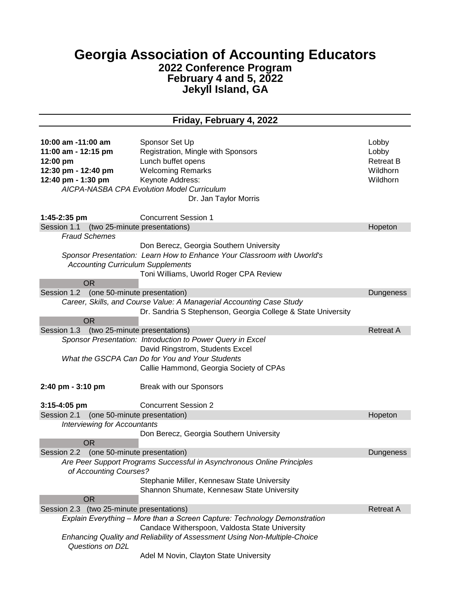## **Georgia Association of Accounting Educators 2022 Conference Program February 4 and 5, 2022 Jekyll Island, GA**

## **Friday, February 4, 2022**

| 10:00 am -11:00 am<br>11:00 am - 12:15 pm<br>12:00 pm<br>12:30 pm - 12:40 pm<br>12:40 pm - 1:30 pm<br>$1:45-2:35$ pm | Sponsor Set Up<br>Registration, Mingle with Sponsors<br>Lunch buffet opens<br><b>Welcoming Remarks</b><br>Keynote Address:<br>AICPA-NASBA CPA Evolution Model Curriculum<br>Dr. Jan Taylor Morris<br><b>Concurrent Session 1</b> | Lobby<br>Lobby<br><b>Retreat B</b><br>Wildhorn<br>Wildhorn |  |
|----------------------------------------------------------------------------------------------------------------------|----------------------------------------------------------------------------------------------------------------------------------------------------------------------------------------------------------------------------------|------------------------------------------------------------|--|
| Session 1.1 (two 25-minute presentations)                                                                            |                                                                                                                                                                                                                                  | Hopeton                                                    |  |
| <b>Fraud Schemes</b>                                                                                                 |                                                                                                                                                                                                                                  |                                                            |  |
|                                                                                                                      | Don Berecz, Georgia Southern University                                                                                                                                                                                          |                                                            |  |
|                                                                                                                      | Sponsor Presentation: Learn How to Enhance Your Classroom with Uworld's                                                                                                                                                          |                                                            |  |
| <b>Accounting Curriculum Supplements</b>                                                                             |                                                                                                                                                                                                                                  |                                                            |  |
|                                                                                                                      | Toni Williams, Uworld Roger CPA Review                                                                                                                                                                                           |                                                            |  |
| <b>OR</b>                                                                                                            |                                                                                                                                                                                                                                  |                                                            |  |
| Session 1.2                                                                                                          | (one 50-minute presentation)                                                                                                                                                                                                     |                                                            |  |
|                                                                                                                      | Career, Skills, and Course Value: A Managerial Accounting Case Study                                                                                                                                                             | Dungeness                                                  |  |
|                                                                                                                      | Dr. Sandria S Stephenson, Georgia College & State University                                                                                                                                                                     |                                                            |  |
| <b>OR</b>                                                                                                            |                                                                                                                                                                                                                                  |                                                            |  |
| Session 1.3 (two 25-minute presentations)                                                                            |                                                                                                                                                                                                                                  | <b>Retreat A</b>                                           |  |
|                                                                                                                      | Sponsor Presentation: Introduction to Power Query in Excel                                                                                                                                                                       |                                                            |  |
|                                                                                                                      | David Ringstrom, Students Excel                                                                                                                                                                                                  |                                                            |  |
|                                                                                                                      | What the GSCPA Can Do for You and Your Students                                                                                                                                                                                  |                                                            |  |
|                                                                                                                      | Callie Hammond, Georgia Society of CPAs                                                                                                                                                                                          |                                                            |  |
|                                                                                                                      |                                                                                                                                                                                                                                  |                                                            |  |
| $2:40 \text{ pm} - 3:10 \text{ pm}$                                                                                  | Break with our Sponsors                                                                                                                                                                                                          |                                                            |  |
| $3:15 - 4:05$ pm                                                                                                     | <b>Concurrent Session 2</b>                                                                                                                                                                                                      |                                                            |  |
| Session 2.1 (one 50-minute presentation)                                                                             |                                                                                                                                                                                                                                  | Hopeton                                                    |  |
| <b>Interviewing for Accountants</b>                                                                                  |                                                                                                                                                                                                                                  |                                                            |  |
|                                                                                                                      | Don Berecz, Georgia Southern University                                                                                                                                                                                          |                                                            |  |
| <b>OR</b>                                                                                                            |                                                                                                                                                                                                                                  |                                                            |  |
| Session 2.2 (one 50-minute presentation)                                                                             |                                                                                                                                                                                                                                  | Dungeness                                                  |  |
|                                                                                                                      | Are Peer Support Programs Successful in Asynchronous Online Principles                                                                                                                                                           |                                                            |  |
| of Accounting Courses?                                                                                               |                                                                                                                                                                                                                                  |                                                            |  |
|                                                                                                                      | Stephanie Miller, Kennesaw State University                                                                                                                                                                                      |                                                            |  |
|                                                                                                                      | Shannon Shumate, Kennesaw State University                                                                                                                                                                                       |                                                            |  |
| <b>OR</b>                                                                                                            |                                                                                                                                                                                                                                  |                                                            |  |
| Session 2.3 (two 25-minute presentations)                                                                            |                                                                                                                                                                                                                                  | <b>Retreat A</b>                                           |  |
|                                                                                                                      | Explain Everything - More than a Screen Capture: Technology Demonstration                                                                                                                                                        |                                                            |  |
|                                                                                                                      | Candace Witherspoon, Valdosta State University                                                                                                                                                                                   |                                                            |  |
|                                                                                                                      | Enhancing Quality and Reliability of Assessment Using Non-Multiple-Choice                                                                                                                                                        |                                                            |  |
| Questions on D2L                                                                                                     |                                                                                                                                                                                                                                  |                                                            |  |
|                                                                                                                      | Adel M Novin, Clayton State University                                                                                                                                                                                           |                                                            |  |